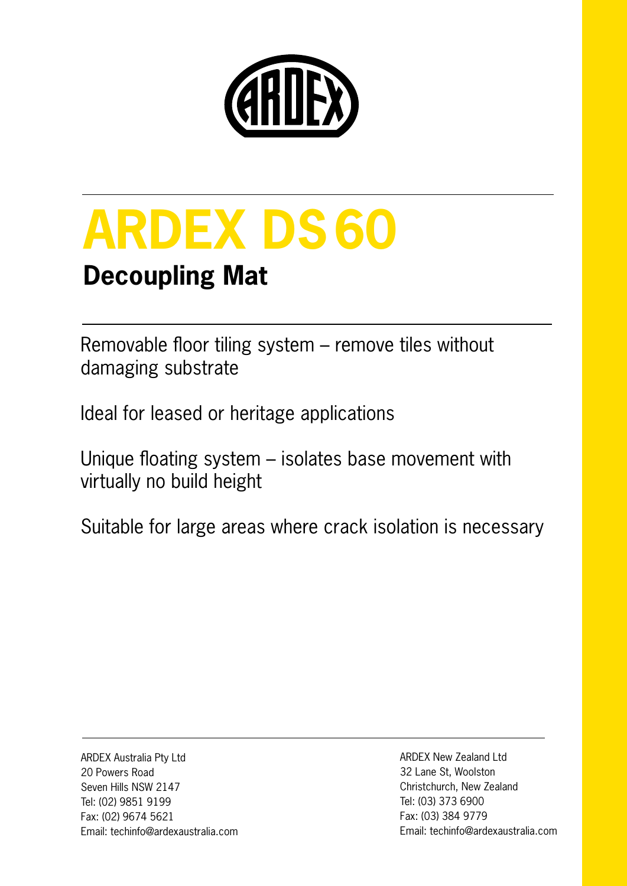

# **ARDEX DS60**

### **Decoupling Mat**

Removable floor tiling system – remove tiles without damaging substrate

Ideal for leased or heritage applications

Unique floating system – isolates base movement with virtually no build height

Suitable for large areas where crack isolation is necessary

ARDEX Australia Pty Ltd 20 Powers Road Seven Hills NSW 2147 Tel: (02) 9851 9199 Fax: (02) 9674 5621 Email: techinfo@ardexaustralia.com ARDEX New Zealand Ltd 32 Lane St, Woolston Christchurch, New Zealand Tel: (03) 373 6900 Fax: (03) 384 9779 Email: techinfo@ardexaustralia.com